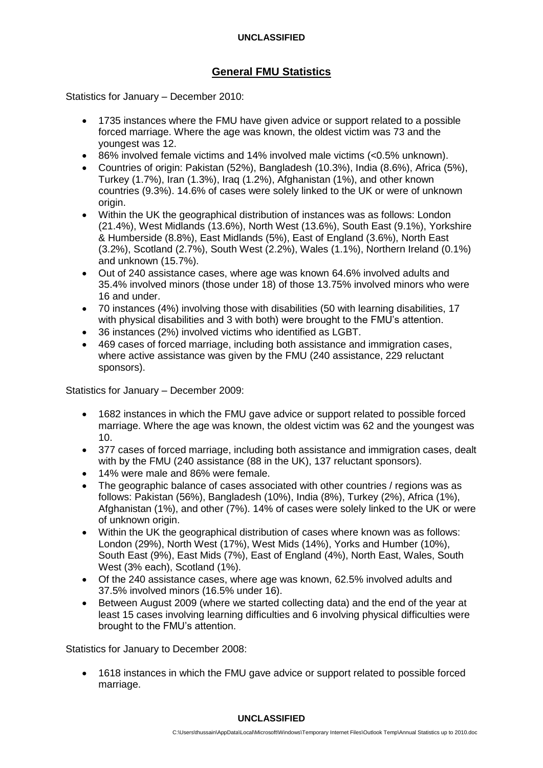## **UNCLASSIFIED**

# **General FMU Statistics**

Statistics for January – December 2010:

- 1735 instances where the FMU have given advice or support related to a possible forced marriage. Where the age was known, the oldest victim was 73 and the youngest was 12.
- 86% involved female victims and 14% involved male victims (<0.5% unknown).
- Countries of origin: Pakistan (52%), Bangladesh (10.3%), India (8.6%), Africa (5%), Turkey (1.7%), Iran (1.3%), Iraq (1.2%), Afghanistan (1%), and other known countries (9.3%). 14.6% of cases were solely linked to the UK or were of unknown origin.
- Within the UK the geographical distribution of instances was as follows: London (21.4%), West Midlands (13.6%), North West (13.6%), South East (9.1%), Yorkshire & Humberside (8.8%), East Midlands (5%), East of England (3.6%), North East (3.2%), Scotland (2.7%), South West (2.2%), Wales (1.1%), Northern Ireland (0.1%) and unknown (15.7%).
- Out of 240 assistance cases, where age was known 64.6% involved adults and 35.4% involved minors (those under 18) of those 13.75% involved minors who were 16 and under.
- 70 instances (4%) involving those with disabilities (50 with learning disabilities, 17 with physical disabilities and 3 with both) were brought to the FMU's attention.
- 36 instances (2%) involved victims who identified as LGBT.
- 469 cases of forced marriage, including both assistance and immigration cases, where active assistance was given by the FMU (240 assistance, 229 reluctant sponsors).

Statistics for January – December 2009:

- 1682 instances in which the FMU gave advice or support related to possible forced marriage. Where the age was known, the oldest victim was 62 and the youngest was 10.
- 377 cases of forced marriage, including both assistance and immigration cases, dealt with by the FMU (240 assistance (88 in the UK), 137 reluctant sponsors).
- 14% were male and 86% were female.
- The geographic balance of cases associated with other countries / regions was as follows: Pakistan (56%), Bangladesh (10%), India (8%), Turkey (2%), Africa (1%), Afghanistan (1%), and other (7%). 14% of cases were solely linked to the UK or were of unknown origin.
- Within the UK the geographical distribution of cases where known was as follows: London (29%), North West (17%), West Mids (14%), Yorks and Humber (10%), South East (9%), East Mids (7%), East of England (4%), North East, Wales, South West (3% each), Scotland (1%).
- Of the 240 assistance cases, where age was known, 62.5% involved adults and 37.5% involved minors (16.5% under 16).
- Between August 2009 (where we started collecting data) and the end of the year at least 15 cases involving learning difficulties and 6 involving physical difficulties were brought to the FMU's attention.

Statistics for January to December 2008:

 1618 instances in which the FMU gave advice or support related to possible forced marriage.

#### **UNCLASSIFIED**